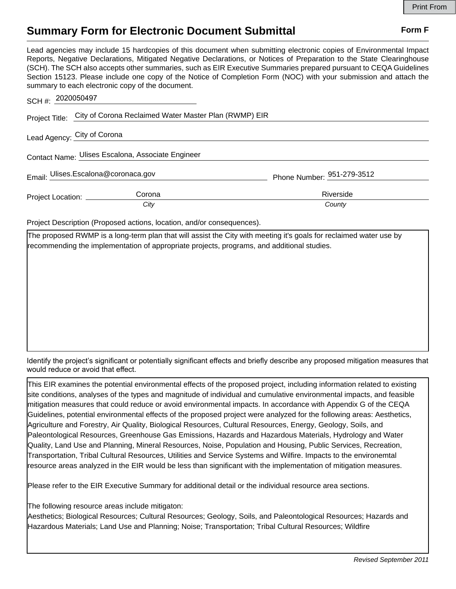## **Summary Form for Electronic Document Submittal Form F Form F**

Lead agencies may include 15 hardcopies of this document when submitting electronic copies of Environmental Impact Reports, Negative Declarations, Mitigated Negative Declarations, or Notices of Preparation to the State Clearinghouse (SCH). The SCH also accepts other summaries, such as EIR Executive Summaries prepared pursuant to CEQA Guidelines Section 15123. Please include one copy of the Notice of Completion Form (NOC) with your submission and attach the summary to each electronic copy of the document.

| SCH #: 2020050497                                 |                                                                      |                            |
|---------------------------------------------------|----------------------------------------------------------------------|----------------------------|
|                                                   | Project Title: City of Corona Reclaimed Water Master Plan (RWMP) EIR |                            |
| Lead Agency: City of Corona                       |                                                                      |                            |
| Contact Name: Ulises Escalona, Associate Engineer |                                                                      |                            |
| Email: Ulises.Escalona@coronaca.gov               |                                                                      | Phone Number: 951-279-3512 |
| Project Location: __________                      | Corona<br>City                                                       | Riverside<br>County        |

Project Description (Proposed actions, location, and/or consequences).

The proposed RWMP is a long-term plan that will assist the City with meeting it's goals for reclaimed water use by recommending the implementation of appropriate projects, programs, and additional studies.

Identify the project's significant or potentially significant effects and briefly describe any proposed mitigation measures that would reduce or avoid that effect.

This EIR examines the potential environmental effects of the proposed project, including information related to existing site conditions, analyses of the types and magnitude of individual and cumulative environmental impacts, and feasible mitigation measures that could reduce or avoid environmental impacts. In accordance with Appendix G of the CEQA Guidelines, potential environmental effects of the proposed project were analyzed for the following areas: Aesthetics, Agriculture and Forestry, Air Quality, Biological Resources, Cultural Resources, Energy, Geology, Soils, and Paleontological Resources, Greenhouse Gas Emissions, Hazards and Hazardous Materials, Hydrology and Water Quality, Land Use and Planning, Mineral Resources, Noise, Population and Housing, Public Services, Recreation, Transportation, Tribal Cultural Resources, Utilities and Service Systems and Wilfire. Impacts to the environemtal resource areas analyzed in the EIR would be less than significant with the implementation of mitigation measures.

Please refer to the EIR Executive Summary for additional detail or the individual resource area sections.

The following resource areas include mitigaton:

Aesthetics; Biological Resources; Cultural Resources; Geology, Soils, and Paleontological Resources; Hazards and Hazardous Materials; Land Use and Planning; Noise; Transportation; Tribal Cultural Resources; Wildfire